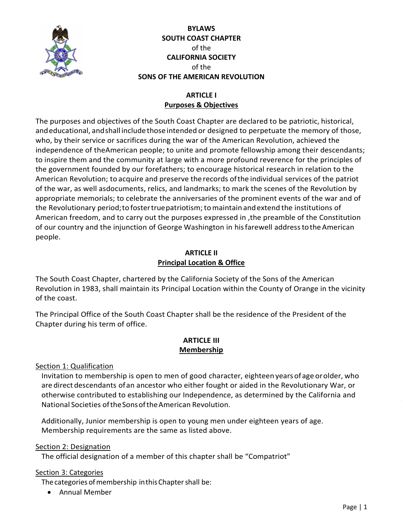

# **BYLAWS SOUTH COAST CHAPTER** of the **CALIFORNIA SOCIETY** of the **SONS OF THE AMERICAN REVOLUTION**

# **ARTICLE I Purposes & Objectives**

The purposes and objectives of the South Coast Chapter are declared to be patriotic, historical, and educational, and shall include those intended or designed to perpetuate the memory of those, who, by their service or sacrifices during the war of the American Revolution, achieved the independence of theAmerican people; to unite and promote fellowship among their descendants; to inspire them and the community at large with a more profound reverence for the principles of the government founded by our forefathers; to encourage historical research in relation to the American Revolution; to acquire and preserve the records ofthe individual services of the patriot of the war, as well asdocuments, relics, and landmarks; to mark the scenes of the Revolution by appropriate memorials; to celebrate the anniversaries of the prominent events of the war and of the Revolutionary period;to fostertruepatriotism;tomaintain andextend the institutions of American freedom, and to carry out the purposes expressed in ,the preamble of the Constitution of our country and the injunction of George Washington in hisfarewell addresstotheAmerican people.

# **ARTICLE II Principal Location & Office**

The South Coast Chapter, chartered by the California Society of the Sons of the American Revolution in 1983, shall maintain its Principal Location within the County of Orange in the vicinity of the coast.

The Principal Office of the South Coast Chapter shall be the residence of the President of the Chapter during his term of office.

# **ARTICLE III Membership**

Section 1: Qualification

Invitation to membership is open to men of good character, eighteen yearsofage orolder, who are direct descendants ofan ancestor who either fought or aided in the Revolutionary War, or otherwise contributed to establishing our Independence, as determined by the California and National Societies oftheSonsoftheAmerican Revolution.

Additionally, Junior membership is open to young men under eighteen years of age. Membership requirements are the same as listed above.

# Section 2: Designation

The official designation of a member of this chapter shall be "Compatriot"

# Section 3: Categories

The categories of membership in this Chapter shall be:

Annual Member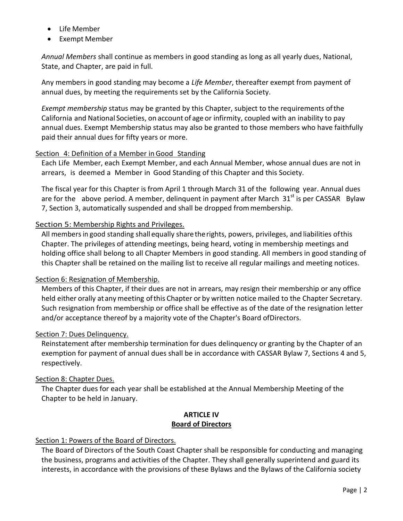- Life Member
- **•** Exempt Member

*Annual Members* shall continue as members in good standing as long as all yearly dues, National, State, and Chapter, are paid in full.

Any members in good standing may become a *Life Member*, thereafter exempt from payment of annual dues, by meeting the requirements set by the California Society.

*Exempt membership* status may be granted by this Chapter, subject to the requirements ofthe California and National Societies, on account of age or infirmity, coupled with an inability to pay annual dues. Exempt Membership status may also be granted to those members who have faithfully paid their annual dues for fifty years or more.

### Section 4: Definition of a Member in Good Standing

Each Life Member, each Exempt Member, and each Annual Member, whose annual dues are not in arrears, is deemed a Member in Good Standing of this Chapter and this Society.

The fiscal year for this Chapter is from April 1 through March 31 of the following year. Annual dues are for the above period. A member, delinquent in payment after March  $31<sup>st</sup>$  is per CASSAR Bylaw 7, Section 3, automatically suspended and shall be dropped frommembership.

# Section 5: Membership Rights and Privileges.

All members in good standing shallequally sharetherights, powers, privileges, and liabilities ofthis Chapter. The privileges of attending meetings, being heard, voting in membership meetings and holding office shall belong to all Chapter Members in good standing. All members in good standing of this Chapter shall be retained on the mailing list to receive all regular mailings and meeting notices.

#### Section 6: Resignation of Membership.

Members of this Chapter, if their dues are not in arrears, may resign their membership or any office held either orally atanymeeting ofthis Chapter or by written notice mailed to the Chapter Secretary. Such resignation from membership or office shall be effective as of the date of the resignation letter and/or acceptance thereof by a majority vote of the Chapter's Board ofDirectors.

#### Section 7: Dues Delinquency.

Reinstatement after membership termination for dues delinquency or granting by the Chapter of an exemption for payment of annual dues shall be in accordance with CASSAR Bylaw 7, Sections 4 and 5, respectively.

# Section 8: Chapter Dues.

The Chapter dues for each year shall be established at the Annual Membership Meeting of the Chapter to be held in January.

#### **ARTICLE IV Board of Directors**

# Section 1: Powers of the Board of Directors.

The Board of Directors of the South Coast Chapter shall be responsible for conducting and managing the business, programs and activities of the Chapter. They shall generally superintend and guard its interests, in accordance with the provisions of these Bylaws and the Bylaws of the California society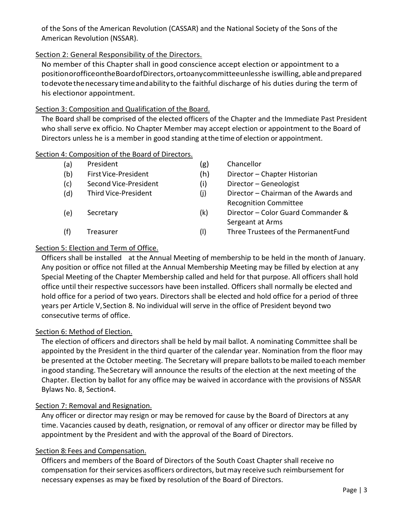of the Sons of the American Revolution (CASSAR) and the National Society of the Sons of the American Revolution (NSSAR).

# Section 2: General Responsibility of the Directors.

No member of this Chapter shall in good conscience accept election or appointment to a positionorofficeontheBoardofDirectors,ortoanycommitteeunlesshe iswilling, ableandprepared todevotethenecessary timeandability to the faithful discharge of his duties during the term of his electionor appointment.

# Section 3: Composition and Qualification of the Board.

The Board shall be comprised of the elected officers of the Chapter and the Immediate Past President who shall serve ex officio. No Chapter Member may accept election or appointment to the Board of Directors unless he is a member in good standing atthe time of election or appointment.

# Section 4: Composition of the Board of Directors.

- (a) President (g) Chancellor
- 
- 
- 
- 
- 
- (b) FirstVice-President (h) Director Chapter Historian
- (c) Second Vice-President (i) Director Geneologist
- (d) Third Vice-President (j) Director Chairman of the Awards and Recognition Committee
- (e) Secretary (k) Director Color Guard Commander & Sergeant at Arms
- (f) Treasurer (l) Three Trustees of the PermanentFund

# Section 5: Election and Term of Office.

Officers shall be installed at the Annual Meeting of membership to be held in the month of January. Any position or office not filled at the Annual Membership Meeting may be filled by election at any Special Meeting of the Chapter Membership called and held for that purpose. All officers shall hold office until their respective successors have been installed. Officers shall normally be elected and hold office for a period of two years. Directors shall be elected and hold office for a period of three years per Article V,Section 8. No individual will serve in the office of President beyond two consecutive terms of office.

# Section 6: Method of Election.

The election of officers and directors shall be held by mail ballot. A nominating Committee shall be appointed by the President in the third quarter of the calendar year. Nomination from the floor may be presented at the October meeting. The Secretary will prepare ballotsto bemailed toeach member ingood standing. TheSecretary will announce the results of the election at the next meeting of the Chapter. Election by ballot for any office may be waived in accordance with the provisions of NSSAR Bylaws No. 8, Section4.

# Section 7: Removal and Resignation.

Any officer or director may resign or may be removed for cause by the Board of Directors at any time. Vacancies caused by death, resignation, or removal of any officer or director may be filled by appointment by the President and with the approval of the Board of Directors.

# Section 8: Fees and Compensation.

Officers and members of the Board of Directors of the South Coast Chapter shall receive no compensation for their services asofficers ordirectors, but may receive such reimbursement for necessary expenses as may be fixed by resolution of the Board of Directors.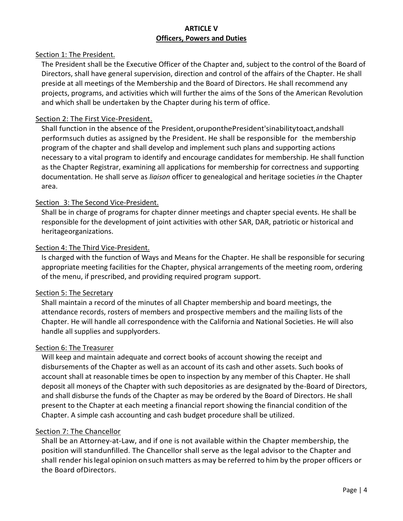## **ARTICLE V Officers, Powers and Duties**

### Section 1: The President.

The President shall be the Executive Officer of the Chapter and, subject to the control of the Board of Directors, shall have general supervision, direction and control of the affairs of the Chapter. He shall preside at all meetings of the Membership and the Board of Directors. He shall recommend any projects, programs, and activities which will further the aims of the Sons of the American Revolution and which shall be undertaken by the Chapter during his term of office.

### Section 2: The First Vice-President.

Shall function in the absence of the President,oruponthePresident'sinabilitytoact,andshall performsuch duties as assigned by the President. He shall be responsible for the membership program of the chapter and shall develop and implement such plans and supporting actions necessary to a vital program to identify and encourage candidates for membership. He shall function as the Chapter Registrar, examining all applications for membership for correctness and supporting documentation. He shall serve as *liaison* officer to genealogical and heritage societies *in* the Chapter area.

#### Section 3: The Second Vice-President.

Shall be in charge of programs for chapter dinner meetings and chapter special events. He shall be responsible for the development of joint activities with other SAR, DAR, patriotic or historical and heritageorganizations.

#### Section 4: The Third Vice-President.

Is charged with the function of Ways and Means for the Chapter. He shall be responsible for securing appropriate meeting facilities for the Chapter, physical arrangements of the meeting room, ordering of the menu, if prescribed, and providing required program support.

#### Section 5: The Secretary

Shall maintain a record of the minutes of all Chapter membership and board meetings, the attendance records, rosters of members and prospective members and the mailing lists of the Chapter. He will handle all correspondence with the California and National Societies. He will also handle all supplies and supplyorders.

#### Section 6: The Treasurer

Will keep and maintain adequate and correct books of account showing the receipt and disbursements of the Chapter as well as an account of its cash and other assets. Such books of account shall at reasonable times be open to inspection by any member of this Chapter. He shall deposit all moneys of the Chapter with such depositories as are designated by the-Board of Directors, and shall disburse the funds of the Chapter as may be ordered by the Board of Directors. He shall present to the Chapter at each meeting a financial report showing the financial condition of the Chapter. A simple cash accounting and cash budget procedure shall be utilized.

#### Section 7: The Chancellor

Shall be an Attorney-at-Law, and if one is not available within the Chapter membership, the position will standunfilled. The Chancellor shall serve as the legal advisor to the Chapter and shall render hislegal opinion onsuch matters as may be referred to him by the proper officers or the Board ofDirectors.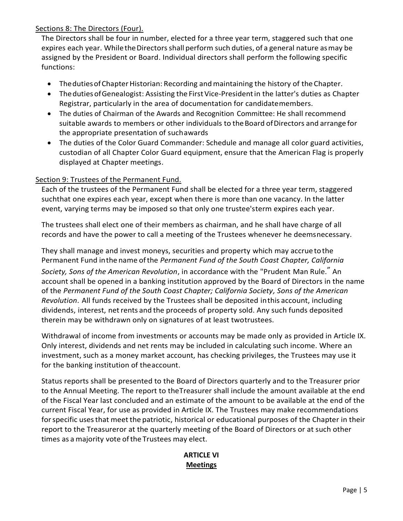# Sections 8: The Directors (Four).

The Directors shall be four in number, elected for a three year term, staggered such that one expires each year. While the Directors shall perform such duties, of a general nature as may be assigned by the President or Board. Individual directors shall perform the following specific functions:

- The duties of Chapter Historian: Recording and maintaining the history of the Chapter.
- The duties of Genealogist: Assisting the First Vice-President in the latter's duties as Chapter Registrar, particularly in the area of documentation for candidatemembers.
- The duties of Chairman of the Awards and Recognition Committee: He shall recommend suitable awards to members or other individuals to theBoard ofDirectors and arrange for the appropriate presentation of suchawards
- The duties of the Color Guard Commander: Schedule and manage all color guard activities, custodian of all Chapter Color Guard equipment, ensure that the American Flag is properly displayed at Chapter meetings.

# Section 9: Trustees of the Permanent Fund.

Each of the trustees of the Permanent Fund shall be elected for a three year term, staggered suchthat one expires each year, except when there is more than one vacancy. In the latter event, varying terms may be imposed so that only one trustee'sterm expires each year.

The trustees shall elect one of their members as chairman, and he shall have charge of all records and have the power to call a meeting of the Trustees whenever he deemsnecessary.

They shall manage and invest moneys, securities and property which may accrue tothe Permanent Fund inthe name ofthe *Permanent Fund of the South Coast Chapter, California* 

*Society, Sons of the American Revolution*, in accordance with the "Prudent Man Rule." An account shall be opened in a banking institution approved by the Board of Directors in the name of the *Permanent Fund of the South Coast Chapter; California Society, Sons of the American Revolution*. All funds received by the Trustees shall be deposited inthis account, including dividends, interest, net rents and the proceeds of property sold. Any such funds deposited therein may be withdrawn only on signatures of at least twotrustees.

Withdrawal of income from investments or accounts may be made only as provided in Article IX. Only interest, dividends and net rents may be included in calculating such income. Where an investment, such as a money market account, has checking privileges, the Trustees may use it for the banking institution of theaccount.

Status reports shall be presented to the Board of Directors quarterly and to the Treasurer prior to the Annual Meeting. The report to theTreasurer shall include the amount available at the end of the Fiscal Year last concluded and an estimate of the amount to be available at the end of the current Fiscal Year, for use as provided in Article IX. The Trustees may make recommendations for specific uses that meet the patriotic, historical or educational purposes of the Chapter in their report to the Treasureror at the quarterly meeting of the Board of Directors or at such other times as a majority vote ofthe Trustees may elect.

# **ARTICLE VI Meetings**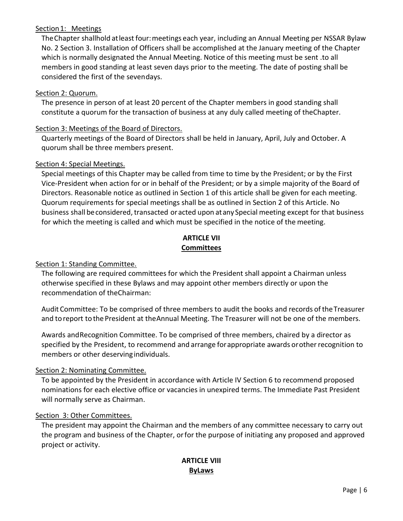### Section1: Meetings

TheChapter shallhold atleast four:meetings each year, including an Annual Meeting per NSSAR Bylaw No. 2 Section 3. Installation of Officers shall be accomplished at the January meeting of the Chapter which is normally designated the Annual Meeting. Notice of this meeting must be sent .to all members in good standing at least seven days prior to the meeting. The date of posting shall be considered the first of the sevendays.

### Section 2: Quorum.

The presence in person of at least 20 percent of the Chapter members in good standing shall constitute a quorum for the transaction of business at any duly called meeting of theChapter.

### Section 3: Meetings of the Board of Directors.

Quarterly meetings of the Board of Directors shall be held in January, April, July and October. A quorum shall be three members present.

#### Section 4: Special Meetings.

Special meetings of this Chapter may be called from time to time by the President; or by the First Vice-President when action for or in behalf of the President; or by a simple majority of the Board of Directors. Reasonable notice as outlined in Section 1 of this article shall be given for each meeting. Quorum requirements for special meetings shall be as outlined in Section 2 of this Article. No business shall be considered, transacted or acted upon at any Special meeting except for that business for which the meeting is called and which must be specified in the notice of the meeting.

### **ARTICLE VII Committees**

### Section 1: Standing Committee.

The following are required committees for which the President shall appoint a Chairman unless otherwise specified in these Bylaws and may appoint other members directly or upon the recommendation of theChairman:

Audit Committee: To be comprised of three members to audit the books and records oftheTreasurer and toreport to the President at theAnnual Meeting. The Treasurer will not be one of the members.

Awards andRecognition Committee. To be comprised of three members, chaired by a director as specified by the President, to recommend and arrange for appropriate awards or other recognition to members or other deservingindividuals.

# Section 2: Nominating Committee.

To be appointed by the President in accordance with Article IV Section 6 to recommend proposed nominations for each elective office or vacancies in unexpired terms. The Immediate Past President will normally serve as Chairman.

#### Section 3: Other Committees.

The president may appoint the Chairman and the members of any committee necessary to carry out the program and business of the Chapter, orfor the purpose of initiating any proposed and approved project or activity.

# **ARTICLE VIII ByLaws**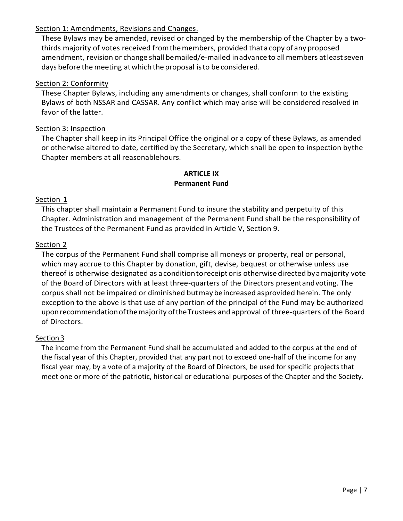# Section 1: Amendments, Revisions and Changes.

These Bylaws may be amended, revised or changed by the membership of the Chapter by a twothirds majority of votes received fromthemembers, provided thata copy of any proposed amendment, revision or change shall bemailed/e-mailed inadvance to all members at least seven days before the meeting at which the proposal is to be considered.

### Section 2: Conformity

These Chapter Bylaws, including any amendments or changes, shall conform to the existing Bylaws of both NSSAR and CASSAR. Any conflict which may arise will be considered resolved in favor of the latter.

## Section 3: Inspection

The Chapter shall keep in its Principal Office the original or a copy of these Bylaws, as amended or otherwise altered to date, certified by the Secretary, which shall be open to inspection bythe Chapter members at all reasonablehours.

### **ARTICLE IX Permanent Fund**

### Section 1

This chapter shall maintain a Permanent Fund to insure the stability and perpetuity of this Chapter. Administration and management of the Permanent Fund shall be the responsibility of the Trustees of the Permanent Fund as provided in Article V, Section 9.

#### Section 2

The corpus of the Permanent Fund shall comprise all moneys or property, real or personal, which may accrue to this Chapter by donation, gift, devise, bequest or otherwise unless use thereof is otherwise designated as a conditiontoreceiptoris otherwise directed byamajority vote of the Board of Directors with at least three-quarters of the Directors presentandvoting. The corpus shall not be impaired or diminished butmay beincreased asprovided herein. The only exception to the above is that use of any portion of the principal of the Fund may be authorized uponrecommendationofthemajority oftheTrustees andapproval of three-quarters of the Board of Directors.

#### Section 3

The income from the Permanent Fund shall be accumulated and added to the corpus at the end of the fiscal year of this Chapter, provided that any part not to exceed one-half of the income for any fiscal year may, by a vote of a majority of the Board of Directors, be used for specific projects that meet one or more of the patriotic, historical or educational purposes of the Chapter and the Society.